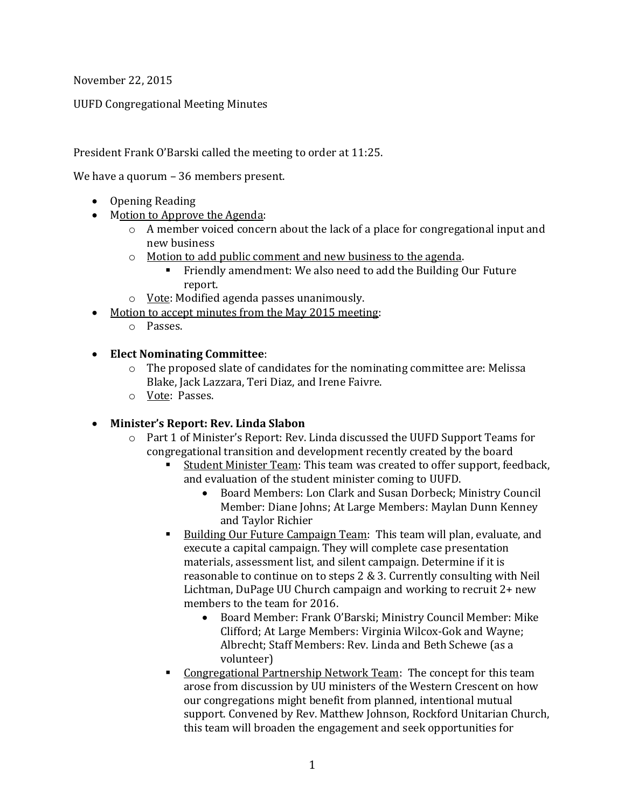November 22, 2015

UUFD Congregational Meeting Minutes

President Frank O'Barski called the meeting to order at 11:25.

We have a quorum – 36 members present.

- Opening Reading
- Motion to Approve the Agenda:
	- o A member voiced concern about the lack of a place for congregational input and new business
	- o Motion to add public comment and new business to the agenda.
		- Friendly amendment: We also need to add the Building Our Future report.
	- o Vote: Modified agenda passes unanimously.
- Motion to accept minutes from the May 2015 meeting:
	- o Passes.

### **Elect Nominating Committee**:

- $\circ$  The proposed slate of candidates for the nominating committee are: Melissa Blake, Jack Lazzara, Teri Diaz, and Irene Faivre.
- o Vote: Passes.

# **Minister's Report: Rev. Linda Slabon**

- o Part 1 of Minister's Report: Rev. Linda discussed the UUFD Support Teams for congregational transition and development recently created by the board
	- Student Minister Team: This team was created to offer support, feedback, and evaluation of the student minister coming to UUFD.
		- Board Members: Lon Clark and Susan Dorbeck; Ministry Council Member: Diane Johns; At Large Members: Maylan Dunn Kenney and Taylor Richier
	- Building Our Future Campaign Team: This team will plan, evaluate, and execute a capital campaign. They will complete case presentation materials, assessment list, and silent campaign. Determine if it is reasonable to continue on to steps 2 & 3. Currently consulting with Neil Lichtman, DuPage UU Church campaign and working to recruit 2+ new members to the team for 2016.
		- Board Member: Frank O'Barski; Ministry Council Member: Mike Clifford; At Large Members: Virginia Wilcox-Gok and Wayne; Albrecht; Staff Members: Rev. Linda and Beth Schewe (as a volunteer)
	- Congregational Partnership Network Team: The concept for this team arose from discussion by UU ministers of the Western Crescent on how our congregations might benefit from planned, intentional mutual support. Convened by Rev. Matthew Johnson, Rockford Unitarian Church, this team will broaden the engagement and seek opportunities for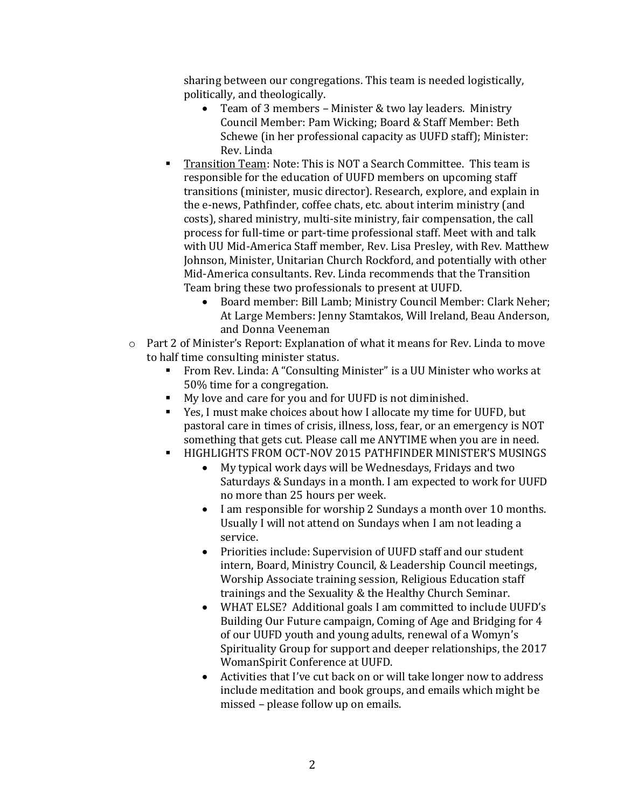sharing between our congregations. This team is needed logistically, politically, and theologically.

- Team of 3 members Minister & two lay leaders. Ministry Council Member: Pam Wicking; Board & Staff Member: Beth Schewe (in her professional capacity as UUFD staff); Minister: Rev. Linda
- Transition Team: Note: This is NOT a Search Committee. This team is responsible for the education of UUFD members on upcoming staff transitions (minister, music director). Research, explore, and explain in the e-news, Pathfinder, coffee chats, etc. about interim ministry (and costs), shared ministry, multi-site ministry, fair compensation, the call process for full-time or part-time professional staff. Meet with and talk with UU Mid-America Staff member, Rev. Lisa Presley, with Rev. Matthew Johnson, Minister, Unitarian Church Rockford, and potentially with other Mid-America consultants. Rev. Linda recommends that the Transition Team bring these two professionals to present at UUFD.
	- Board member: Bill Lamb; Ministry Council Member: Clark Neher; At Large Members: Jenny Stamtakos, Will Ireland, Beau Anderson, and Donna Veeneman
- o Part 2 of Minister's Report: Explanation of what it means for Rev. Linda to move to half time consulting minister status.
	- From Rev. Linda: A "Consulting Minister" is a UU Minister who works at 50% time for a congregation.
	- My love and care for you and for UUFD is not diminished.
	- Yes, I must make choices about how I allocate my time for UUFD, but pastoral care in times of crisis, illness, loss, fear, or an emergency is NOT something that gets cut. Please call me ANYTIME when you are in need.
	- HIGHLIGHTS FROM OCT-NOV 2015 PATHFINDER MINISTER'S MUSINGS
		- My typical work days will be Wednesdays, Fridays and two Saturdays & Sundays in a month. I am expected to work for UUFD no more than 25 hours per week.
		- I am responsible for worship 2 Sundays a month over 10 months. Usually I will not attend on Sundays when I am not leading a service.
		- Priorities include: Supervision of UUFD staff and our student intern, Board, Ministry Council, & Leadership Council meetings, Worship Associate training session, Religious Education staff trainings and the Sexuality & the Healthy Church Seminar.
		- WHAT ELSE? Additional goals I am committed to include UUFD's Building Our Future campaign, Coming of Age and Bridging for 4 of our UUFD youth and young adults, renewal of a Womyn's Spirituality Group for support and deeper relationships, the 2017 WomanSpirit Conference at UUFD.
		- Activities that I've cut back on or will take longer now to address include meditation and book groups, and emails which might be missed – please follow up on emails.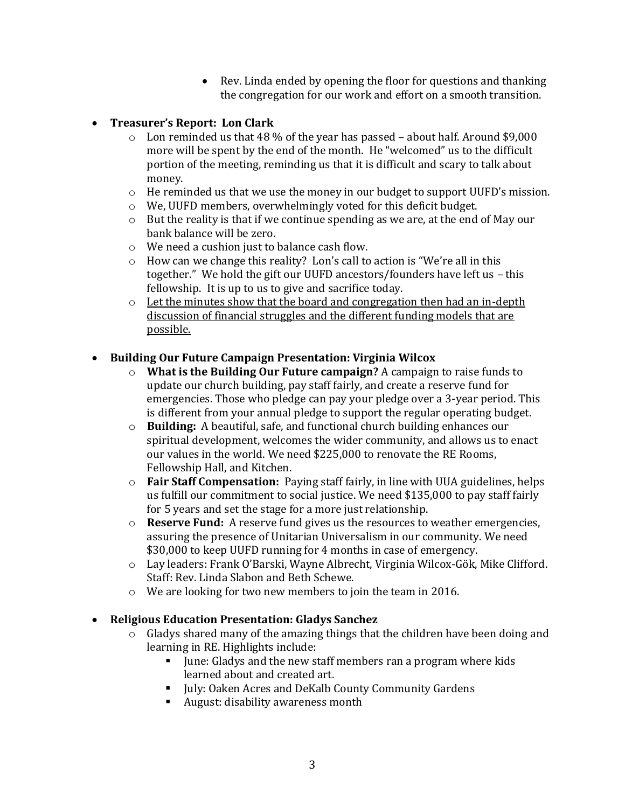- Rev. Linda ended by opening the floor for questions and thanking the congregation for our work and effort on a smooth transition.
- **Treasurer's Report: Lon Clark**
	- $\circ$  Lon reminded us that 48 % of the year has passed about half. Around \$9,000 more will be spent by the end of the month. He "welcomed" us to the difficult portion of the meeting, reminding us that it is difficult and scary to talk about money.
	- $\circ$  He reminded us that we use the money in our budget to support UUFD's mission.
	- o We, UUFD members, overwhelmingly voted for this deficit budget.
	- $\circ$  But the reality is that if we continue spending as we are, at the end of May our bank balance will be zero.
	- o We need a cushion just to balance cash flow.
	- o How can we change this reality? Lon's call to action is "We're all in this together." We hold the gift our UUFD ancestors/founders have left us – this fellowship. It is up to us to give and sacrifice today.
	- $\circ$  Let the minutes show that the board and congregation then had an in-depth discussion of financial struggles and the different funding models that are possible.

### **Building Our Future Campaign Presentation: Virginia Wilcox**

- o **What is the Building Our Future campaign?** A campaign to raise funds to update our church building, pay staff fairly, and create a reserve fund for emergencies. Those who pledge can pay your pledge over a 3-year period. This is different from your annual pledge to support the regular operating budget.
- o **Building:** A beautiful, safe, and functional church building enhances our spiritual development, welcomes the wider community, and allows us to enact our values in the world. We need \$225,000 to renovate the RE Rooms, Fellowship Hall, and Kitchen.
- o **Fair Staff Compensation:** Paying staff fairly, in line with UUA guidelines, helps us fulfill our commitment to social justice. We need \$135,000 to pay staff fairly for 5 years and set the stage for a more just relationship.
- o **Reserve Fund:** A reserve fund gives us the resources to weather emergencies, assuring the presence of Unitarian Universalism in our community. We need \$30,000 to keep UUFD running for 4 months in case of emergency.
- o Lay leaders: Frank O'Barski, Wayne Albrecht, Virginia Wilcox-Gök, Mike Clifford. Staff: Rev. Linda Slabon and Beth Schewe.
- o We are looking for two new members to join the team in 2016.

### **Religious Education Presentation: Gladys Sanchez**

- o Gladys shared many of the amazing things that the children have been doing and learning in RE. Highlights include:
	- If  $\blacksquare$  June: Gladys and the new staff members ran a program where kids learned about and created art.
	- Iuly: Oaken Acres and DeKalb County Community Gardens
	- August: disability awareness month